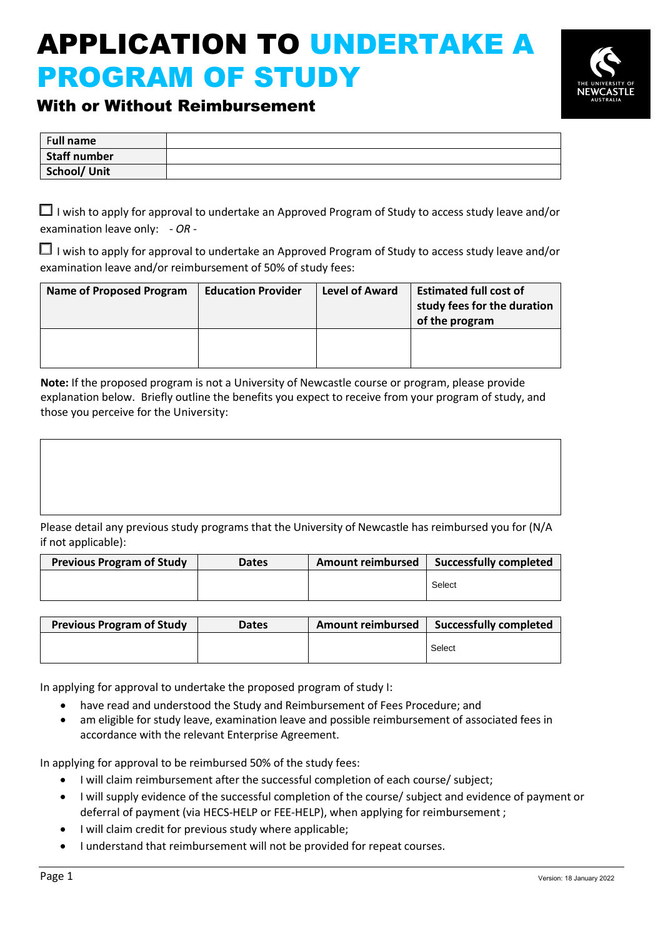# APPLICATION TO UNDERTAKE A PROGRAM OF STUDY



## With or Without Reimbursement

| Full name    |  |
|--------------|--|
| Staff number |  |
| School/ Unit |  |

 $\Box$  I wish to apply for approval to undertake an Approved Program of Study to access study leave and/or examination leave only: - *OR* -

 $\Box$  I wish to apply for approval to undertake an Approved Program of Study to access study leave and/or examination leave and/or reimbursement of 50% of study fees:

| <b>Name of Proposed Program</b> | <b>Education Provider</b> | <b>Level of Award</b> | <b>Estimated full cost of</b><br>study fees for the duration<br>of the program |
|---------------------------------|---------------------------|-----------------------|--------------------------------------------------------------------------------|
|                                 |                           |                       |                                                                                |

**Note:** If the proposed program is not a University of Newcastle course or program, please provide explanation below. Briefly outline the benefits you expect to receive from your program of study, and those you perceive for the University:

Please detail any previous study programs that the University of Newcastle has reimbursed you for (N/A if not applicable):

| <b>Previous Program of Study</b> | <b>Dates</b> | <b>Amount reimbursed</b> | <b>Successfully completed</b> |
|----------------------------------|--------------|--------------------------|-------------------------------|
|                                  |              |                          | Select                        |

| <b>Previous Program of Study</b> | <b>Dates</b> | <b>Amount reimbursed</b> | <b>Successfully completed</b> |
|----------------------------------|--------------|--------------------------|-------------------------------|
|                                  |              |                          | Select                        |

In applying for approval to undertake the proposed program of study I:

- have read and understood the Study and Reimbursement of Fees Procedure; and
- am eligible for study leave, examination leave and possible reimbursement of associated fees in accordance with the relevant Enterprise Agreement.

In applying for approval to be reimbursed 50% of the study fees:

- I will claim reimbursement after the successful completion of each course/ subject;
- I will supply evidence of the successful completion of the course/ subject and evidence of payment or deferral of payment (via HECS-HELP or FEE-HELP), when applying for reimbursement ;
- I will claim credit for previous study where applicable;
- I understand that reimbursement will not be provided for repeat courses.